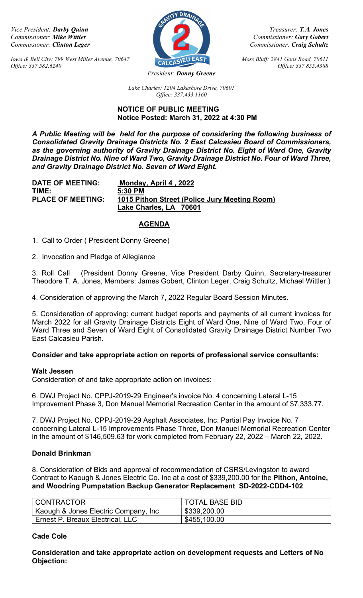Iowa & Bell City: 799 West Miller Avenue, 70647  $\overline{C_{\text{ALC}} S}$  EAST Moss Bluff: 2841 Goos Road, 70611 Office: 337.582.6240 Office: 337.855.4388



Vice President: Darby Quinn Treasurer: T.A. Jones Commissioner: Mike Wittler Commissioner: Gary Gobert Commissioner: Gary Gobert Commissioner: Gary Gobert Commissioner: Gary Gobert Commissioner: Change Commissioner: Change Commissioner: Change Commissioner: Craig Schultz Commissioner: Craig Schultz

President: **Donny Greene** 

Lake Charles: 1204 Lakeshore Drive, 70601 Office: 337.433.1160

### NOTICE OF PUBLIC MEETING Notice Posted: March 31, 2022 at 4:30 PM

A Public Meeting will be held for the purpose of considering the following business of Consolidated Gravity Drainage Districts No. 2 East Calcasieu Board of Commissioners, as the governing authority of Gravity Drainage District No. Eight of Ward One, Gravity Drainage District No. Nine of Ward Two, Gravity Drainage District No. Four of Ward Three, and Gravity Drainage District No. Seven of Ward Eight.

DATE OF MEETING: Monday, April 4 , 2022 TIME: 5:30 PM PLACE OF MEETING: 1015 Pithon Street (Police Jury Meeting Room) Lake Charles, LA 70601

## **AGENDA**

1. Call to Order ( President Donny Greene)

2. Invocation and Pledge of Allegiance

3. Roll Call (President Donny Greene, Vice President Darby Quinn, Secretary-treasurer Theodore T. A. Jones, Members: James Gobert, Clinton Leger, Craig Schultz, Michael Wittler.)

4. Consideration of approving the March 7, 2022 Regular Board Session Minutes.

5. Consideration of approving: current budget reports and payments of all current invoices for March 2022 for all Gravity Drainage Districts Eight of Ward One, Nine of Ward Two, Four of Ward Three and Seven of Ward Eight of Consolidated Gravity Drainage District Number Two East Calcasieu Parish.

## Consider and take appropriate action on reports of professional service consultants:

### Walt Jessen

Consideration of and take appropriate action on invoices:

6. DWJ Project No. CPPJ-2019-29 Engineer's invoice No. 4 concerning Lateral L-15 Improvement Phase 3, Don Manuel Memorial Recreation Center in the amount of \$7,333.77.

7. DWJ Project No. CPPJ-2019-29 Asphalt Associates, Inc. Partial Pay Invoice No. 7 concerning Lateral L-15 Improvements Phase Three, Don Manuel Memorial Recreation Center in the amount of \$146,509.63 for work completed from February 22, 2022 – March 22, 2022.

## Donald Brinkman

8. Consideration of Bids and approval of recommendation of CSRS/Levingston to award Contract to Kaough & Jones Electric Co. Inc at a cost of \$339,200.00 for the Pithon, Antoine, and Woodring Pumpstation Backup Generator Replacement SD-2022-CDD4-102

| CONTRACTOR                           | <b>TOTAL BASE BID</b> |
|--------------------------------------|-----------------------|
| Kaough & Jones Electric Company, Inc | \$339,200.00          |
| Ernest P. Breaux Electrical, LLC     | \$455,100.00          |

## Cade Cole

Consideration and take appropriate action on development requests and Letters of No Objection: